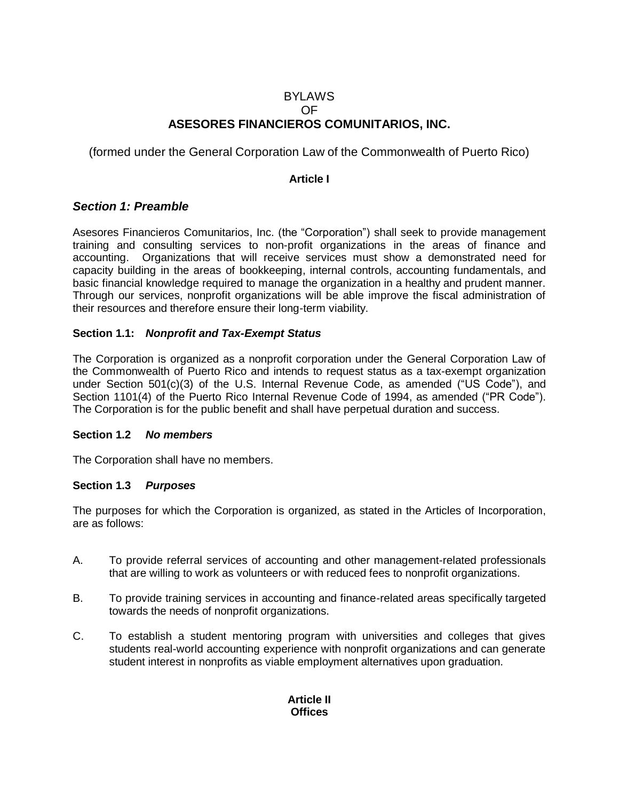### BYLAWS OF **ASESORES FINANCIEROS COMUNITARIOS, INC.**

(formed under the General Corporation Law of the Commonwealth of Puerto Rico)

#### **Article I**

### *Section 1: Preamble*

Asesores Financieros Comunitarios, Inc. (the "Corporation") shall seek to provide management training and consulting services to non-profit organizations in the areas of finance and accounting. Organizations that will receive services must show a demonstrated need for capacity building in the areas of bookkeeping, internal controls, accounting fundamentals, and basic financial knowledge required to manage the organization in a healthy and prudent manner. Through our services, nonprofit organizations will be able improve the fiscal administration of their resources and therefore ensure their long-term viability.

#### **Section 1.1:** *Nonprofit and Tax-Exempt Status*

The Corporation is organized as a nonprofit corporation under the General Corporation Law of the Commonwealth of Puerto Rico and intends to request status as a tax-exempt organization under Section 501(c)(3) of the U.S. Internal Revenue Code, as amended ("US Code"), and Section 1101(4) of the Puerto Rico Internal Revenue Code of 1994, as amended ("PR Code"). The Corporation is for the public benefit and shall have perpetual duration and success.

#### **Section 1.2** *No members*

The Corporation shall have no members.

#### **Section 1.3** *Purposes*

The purposes for which the Corporation is organized, as stated in the Articles of Incorporation, are as follows:

- A. To provide referral services of accounting and other management-related professionals that are willing to work as volunteers or with reduced fees to nonprofit organizations.
- B. To provide training services in accounting and finance-related areas specifically targeted towards the needs of nonprofit organizations.
- C. To establish a student mentoring program with universities and colleges that gives students real-world accounting experience with nonprofit organizations and can generate student interest in nonprofits as viable employment alternatives upon graduation.

### **Article II Offices**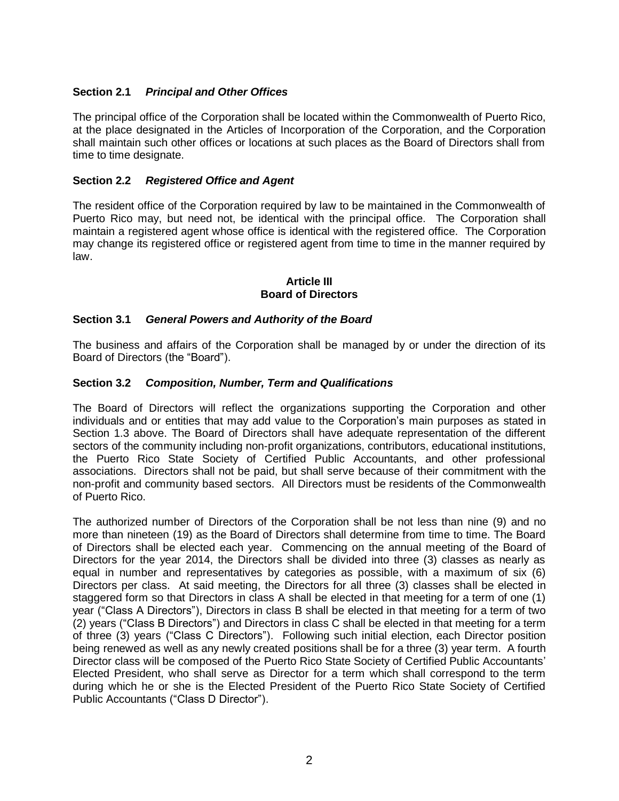# **Section 2.1** *Principal and Other Offices*

The principal office of the Corporation shall be located within the Commonwealth of Puerto Rico, at the place designated in the Articles of Incorporation of the Corporation, and the Corporation shall maintain such other offices or locations at such places as the Board of Directors shall from time to time designate.

## **Section 2.2** *Registered Office and Agent*

The resident office of the Corporation required by law to be maintained in the Commonwealth of Puerto Rico may, but need not, be identical with the principal office. The Corporation shall maintain a registered agent whose office is identical with the registered office. The Corporation may change its registered office or registered agent from time to time in the manner required by law.

### **Article III Board of Directors**

# **Section 3.1** *General Powers and Authority of the Board*

The business and affairs of the Corporation shall be managed by or under the direction of its Board of Directors (the "Board").

### **Section 3.2** *Composition, Number, Term and Qualifications*

The Board of Directors will reflect the organizations supporting the Corporation and other individuals and or entities that may add value to the Corporation's main purposes as stated in Section 1.3 above. The Board of Directors shall have adequate representation of the different sectors of the community including non-profit organizations, contributors, educational institutions, the Puerto Rico State Society of Certified Public Accountants, and other professional associations. Directors shall not be paid, but shall serve because of their commitment with the non-profit and community based sectors. All Directors must be residents of the Commonwealth of Puerto Rico.

The authorized number of Directors of the Corporation shall be not less than nine (9) and no more than nineteen (19) as the Board of Directors shall determine from time to time. The Board of Directors shall be elected each year. Commencing on the annual meeting of the Board of Directors for the year 2014, the Directors shall be divided into three (3) classes as nearly as equal in number and representatives by categories as possible, with a maximum of six (6) Directors per class. At said meeting, the Directors for all three (3) classes shall be elected in staggered form so that Directors in class A shall be elected in that meeting for a term of one (1) year ("Class A Directors"), Directors in class B shall be elected in that meeting for a term of two (2) years ("Class B Directors") and Directors in class C shall be elected in that meeting for a term of three (3) years ("Class C Directors"). Following such initial election, each Director position being renewed as well as any newly created positions shall be for a three (3) year term. A fourth Director class will be composed of the Puerto Rico State Society of Certified Public Accountants' Elected President, who shall serve as Director for a term which shall correspond to the term during which he or she is the Elected President of the Puerto Rico State Society of Certified Public Accountants ("Class D Director").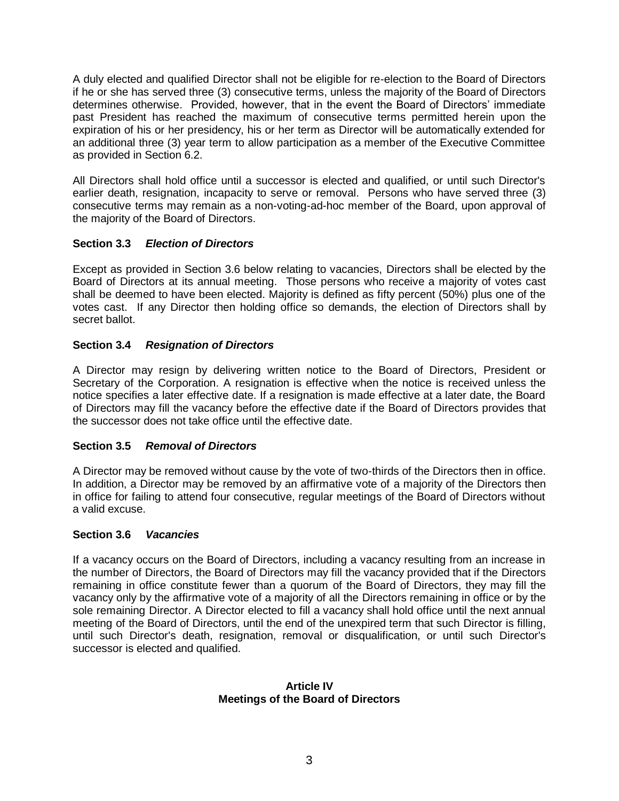A duly elected and qualified Director shall not be eligible for re-election to the Board of Directors if he or she has served three (3) consecutive terms, unless the majority of the Board of Directors determines otherwise. Provided, however, that in the event the Board of Directors' immediate past President has reached the maximum of consecutive terms permitted herein upon the expiration of his or her presidency, his or her term as Director will be automatically extended for an additional three (3) year term to allow participation as a member of the Executive Committee as provided in Section 6.2.

All Directors shall hold office until a successor is elected and qualified, or until such Director's earlier death, resignation, incapacity to serve or removal. Persons who have served three (3) consecutive terms may remain as a non-voting-ad-hoc member of the Board, upon approval of the majority of the Board of Directors.

# **Section 3.3** *Election of Directors*

Except as provided in Section 3.6 below relating to vacancies, Directors shall be elected by the Board of Directors at its annual meeting. Those persons who receive a majority of votes cast shall be deemed to have been elected. Majority is defined as fifty percent (50%) plus one of the votes cast. If any Director then holding office so demands, the election of Directors shall by secret ballot.

# **Section 3.4** *Resignation of Directors*

A Director may resign by delivering written notice to the Board of Directors, President or Secretary of the Corporation. A resignation is effective when the notice is received unless the notice specifies a later effective date. If a resignation is made effective at a later date, the Board of Directors may fill the vacancy before the effective date if the Board of Directors provides that the successor does not take office until the effective date.

### **Section 3.5** *Removal of Directors*

A Director may be removed without cause by the vote of two-thirds of the Directors then in office. In addition, a Director may be removed by an affirmative vote of a majority of the Directors then in office for failing to attend four consecutive, regular meetings of the Board of Directors without a valid excuse.

### **Section 3.6** *Vacancies*

If a vacancy occurs on the Board of Directors, including a vacancy resulting from an increase in the number of Directors, the Board of Directors may fill the vacancy provided that if the Directors remaining in office constitute fewer than a quorum of the Board of Directors, they may fill the vacancy only by the affirmative vote of a majority of all the Directors remaining in office or by the sole remaining Director. A Director elected to fill a vacancy shall hold office until the next annual meeting of the Board of Directors, until the end of the unexpired term that such Director is filling, until such Director's death, resignation, removal or disqualification, or until such Director's successor is elected and qualified.

#### **Article IV Meetings of the Board of Directors**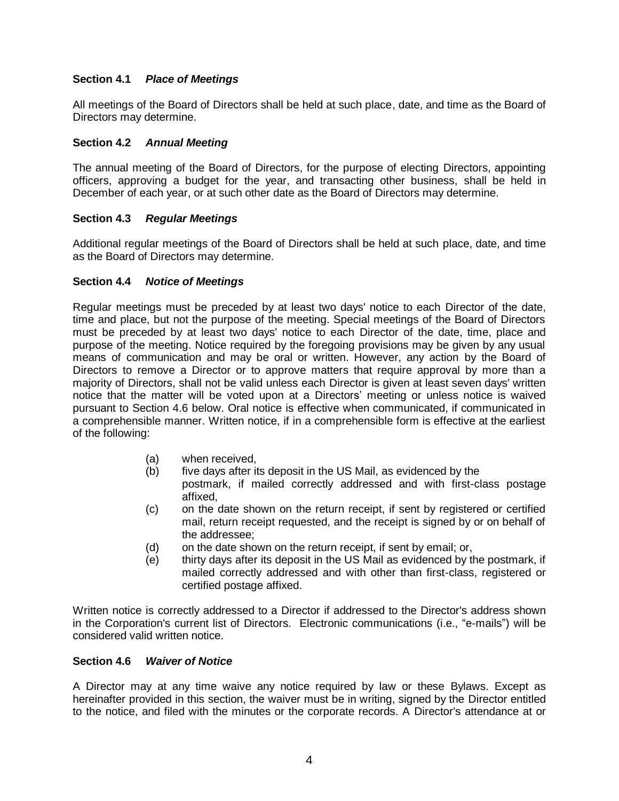# **Section 4.1** *Place of Meetings*

All meetings of the Board of Directors shall be held at such place, date, and time as the Board of Directors may determine.

### **Section 4.2** *Annual Meeting*

The annual meeting of the Board of Directors, for the purpose of electing Directors, appointing officers, approving a budget for the year, and transacting other business, shall be held in December of each year, or at such other date as the Board of Directors may determine.

#### **Section 4.3** *Regular Meetings*

Additional regular meetings of the Board of Directors shall be held at such place, date, and time as the Board of Directors may determine.

#### **Section 4.4** *Notice of Meetings*

Regular meetings must be preceded by at least two days' notice to each Director of the date, time and place, but not the purpose of the meeting. Special meetings of the Board of Directors must be preceded by at least two days' notice to each Director of the date, time, place and purpose of the meeting. Notice required by the foregoing provisions may be given by any usual means of communication and may be oral or written. However, any action by the Board of Directors to remove a Director or to approve matters that require approval by more than a majority of Directors, shall not be valid unless each Director is given at least seven days' written notice that the matter will be voted upon at a Directors' meeting or unless notice is waived pursuant to Section 4.6 below. Oral notice is effective when communicated, if communicated in a comprehensible manner. Written notice, if in a comprehensible form is effective at the earliest of the following:

- (a) when received,
- (b) five days after its deposit in the US Mail, as evidenced by the postmark, if mailed correctly addressed and with first-class postage affixed,
- (c) on the date shown on the return receipt, if sent by registered or certified mail, return receipt requested, and the receipt is signed by or on behalf of the addressee;
- (d) on the date shown on the return receipt, if sent by email; or,
- (e) thirty days after its deposit in the US Mail as evidenced by the postmark, if mailed correctly addressed and with other than first-class, registered or certified postage affixed.

Written notice is correctly addressed to a Director if addressed to the Director's address shown in the Corporation's current list of Directors. Electronic communications (i.e., "e-mails") will be considered valid written notice.

#### **Section 4.6** *Waiver of Notice*

A Director may at any time waive any notice required by law or these Bylaws. Except as hereinafter provided in this section, the waiver must be in writing, signed by the Director entitled to the notice, and filed with the minutes or the corporate records. A Director's attendance at or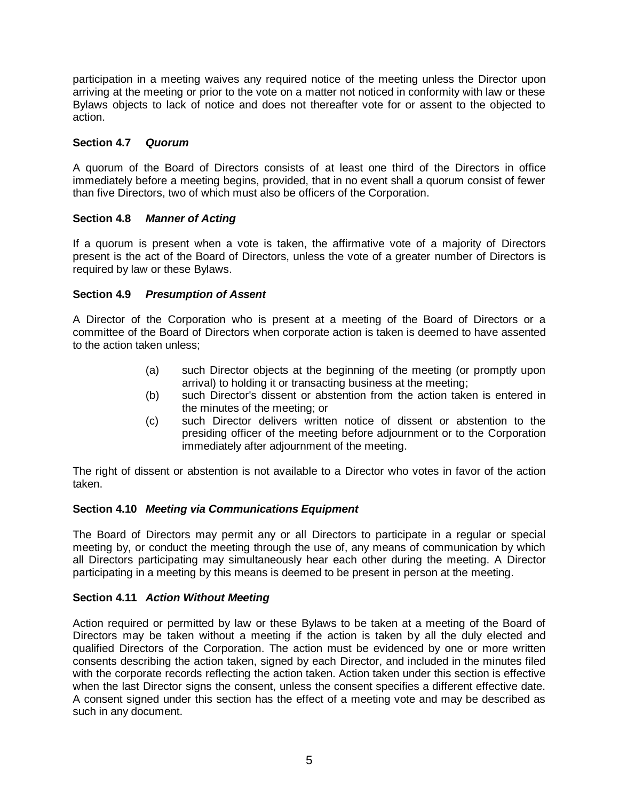participation in a meeting waives any required notice of the meeting unless the Director upon arriving at the meeting or prior to the vote on a matter not noticed in conformity with law or these Bylaws objects to lack of notice and does not thereafter vote for or assent to the objected to action.

# **Section 4.7** *Quorum*

A quorum of the Board of Directors consists of at least one third of the Directors in office immediately before a meeting begins, provided, that in no event shall a quorum consist of fewer than five Directors, two of which must also be officers of the Corporation.

### **Section 4.8** *Manner of Acting*

If a quorum is present when a vote is taken, the affirmative vote of a majority of Directors present is the act of the Board of Directors, unless the vote of a greater number of Directors is required by law or these Bylaws.

# **Section 4.9** *Presumption of Assent*

A Director of the Corporation who is present at a meeting of the Board of Directors or a committee of the Board of Directors when corporate action is taken is deemed to have assented to the action taken unless;

- (a) such Director objects at the beginning of the meeting (or promptly upon arrival) to holding it or transacting business at the meeting;
- (b) such Director's dissent or abstention from the action taken is entered in the minutes of the meeting; or
- (c) such Director delivers written notice of dissent or abstention to the presiding officer of the meeting before adjournment or to the Corporation immediately after adjournment of the meeting.

The right of dissent or abstention is not available to a Director who votes in favor of the action taken.

### **Section 4.10** *Meeting via Communications Equipment*

The Board of Directors may permit any or all Directors to participate in a regular or special meeting by, or conduct the meeting through the use of, any means of communication by which all Directors participating may simultaneously hear each other during the meeting. A Director participating in a meeting by this means is deemed to be present in person at the meeting.

### **Section 4.11** *Action Without Meeting*

Action required or permitted by law or these Bylaws to be taken at a meeting of the Board of Directors may be taken without a meeting if the action is taken by all the duly elected and qualified Directors of the Corporation. The action must be evidenced by one or more written consents describing the action taken, signed by each Director, and included in the minutes filed with the corporate records reflecting the action taken. Action taken under this section is effective when the last Director signs the consent, unless the consent specifies a different effective date. A consent signed under this section has the effect of a meeting vote and may be described as such in any document.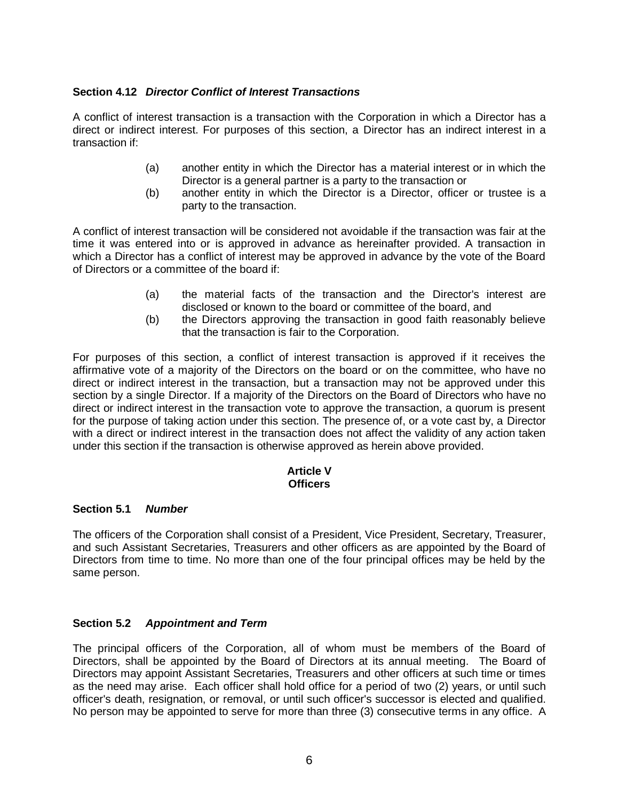## **Section 4.12** *Director Conflict of Interest Transactions*

A conflict of interest transaction is a transaction with the Corporation in which a Director has a direct or indirect interest. For purposes of this section, a Director has an indirect interest in a transaction if:

- (a) another entity in which the Director has a material interest or in which the Director is a general partner is a party to the transaction or
- (b) another entity in which the Director is a Director, officer or trustee is a party to the transaction.

A conflict of interest transaction will be considered not avoidable if the transaction was fair at the time it was entered into or is approved in advance as hereinafter provided. A transaction in which a Director has a conflict of interest may be approved in advance by the vote of the Board of Directors or a committee of the board if:

- (a) the material facts of the transaction and the Director's interest are disclosed or known to the board or committee of the board, and
- (b) the Directors approving the transaction in good faith reasonably believe that the transaction is fair to the Corporation.

For purposes of this section, a conflict of interest transaction is approved if it receives the affirmative vote of a majority of the Directors on the board or on the committee, who have no direct or indirect interest in the transaction, but a transaction may not be approved under this section by a single Director. If a majority of the Directors on the Board of Directors who have no direct or indirect interest in the transaction vote to approve the transaction, a quorum is present for the purpose of taking action under this section. The presence of, or a vote cast by, a Director with a direct or indirect interest in the transaction does not affect the validity of any action taken under this section if the transaction is otherwise approved as herein above provided.

#### **Article V Officers**

### **Section 5.1** *Number*

The officers of the Corporation shall consist of a President, Vice President, Secretary, Treasurer, and such Assistant Secretaries, Treasurers and other officers as are appointed by the Board of Directors from time to time. No more than one of the four principal offices may be held by the same person.

### **Section 5.2** *Appointment and Term*

The principal officers of the Corporation, all of whom must be members of the Board of Directors, shall be appointed by the Board of Directors at its annual meeting. The Board of Directors may appoint Assistant Secretaries, Treasurers and other officers at such time or times as the need may arise. Each officer shall hold office for a period of two (2) years, or until such officer's death, resignation, or removal, or until such officer's successor is elected and qualified. No person may be appointed to serve for more than three (3) consecutive terms in any office. A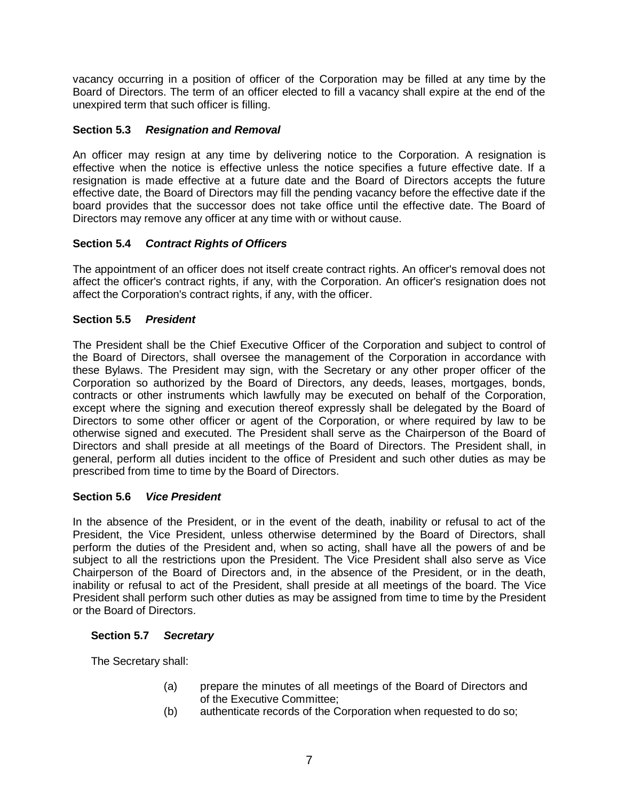vacancy occurring in a position of officer of the Corporation may be filled at any time by the Board of Directors. The term of an officer elected to fill a vacancy shall expire at the end of the unexpired term that such officer is filling.

## **Section 5.3** *Resignation and Removal*

An officer may resign at any time by delivering notice to the Corporation. A resignation is effective when the notice is effective unless the notice specifies a future effective date. If a resignation is made effective at a future date and the Board of Directors accepts the future effective date, the Board of Directors may fill the pending vacancy before the effective date if the board provides that the successor does not take office until the effective date. The Board of Directors may remove any officer at any time with or without cause.

# **Section 5.4** *Contract Rights of Officers*

The appointment of an officer does not itself create contract rights. An officer's removal does not affect the officer's contract rights, if any, with the Corporation. An officer's resignation does not affect the Corporation's contract rights, if any, with the officer.

# **Section 5.5** *President*

The President shall be the Chief Executive Officer of the Corporation and subject to control of the Board of Directors, shall oversee the management of the Corporation in accordance with these Bylaws. The President may sign, with the Secretary or any other proper officer of the Corporation so authorized by the Board of Directors, any deeds, leases, mortgages, bonds, contracts or other instruments which lawfully may be executed on behalf of the Corporation, except where the signing and execution thereof expressly shall be delegated by the Board of Directors to some other officer or agent of the Corporation, or where required by law to be otherwise signed and executed. The President shall serve as the Chairperson of the Board of Directors and shall preside at all meetings of the Board of Directors. The President shall, in general, perform all duties incident to the office of President and such other duties as may be prescribed from time to time by the Board of Directors.

### **Section 5.6** *Vice President*

In the absence of the President, or in the event of the death, inability or refusal to act of the President, the Vice President, unless otherwise determined by the Board of Directors, shall perform the duties of the President and, when so acting, shall have all the powers of and be subject to all the restrictions upon the President. The Vice President shall also serve as Vice Chairperson of the Board of Directors and, in the absence of the President, or in the death, inability or refusal to act of the President, shall preside at all meetings of the board. The Vice President shall perform such other duties as may be assigned from time to time by the President or the Board of Directors.

### **Section 5.7** *Secretary*

The Secretary shall:

- (a) prepare the minutes of all meetings of the Board of Directors and of the Executive Committee;
- (b) authenticate records of the Corporation when requested to do so;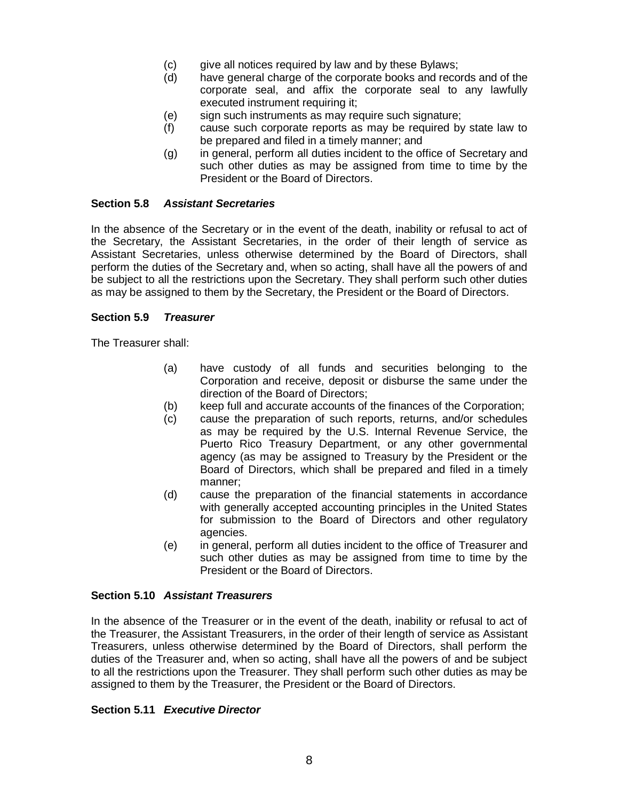- (c) give all notices required by law and by these Bylaws;
- (d) have general charge of the corporate books and records and of the corporate seal, and affix the corporate seal to any lawfully executed instrument requiring it;
- (e) sign such instruments as may require such signature;
- (f) cause such corporate reports as may be required by state law to be prepared and filed in a timely manner; and
- (g) in general, perform all duties incident to the office of Secretary and such other duties as may be assigned from time to time by the President or the Board of Directors.

#### **Section 5.8** *Assistant Secretaries*

In the absence of the Secretary or in the event of the death, inability or refusal to act of the Secretary, the Assistant Secretaries, in the order of their length of service as Assistant Secretaries, unless otherwise determined by the Board of Directors, shall perform the duties of the Secretary and, when so acting, shall have all the powers of and be subject to all the restrictions upon the Secretary. They shall perform such other duties as may be assigned to them by the Secretary, the President or the Board of Directors.

#### **Section 5.9** *Treasurer*

The Treasurer shall:

- (a) have custody of all funds and securities belonging to the Corporation and receive, deposit or disburse the same under the direction of the Board of Directors;
- (b) keep full and accurate accounts of the finances of the Corporation;
- (c) cause the preparation of such reports, returns, and/or schedules as may be required by the U.S. Internal Revenue Service, the Puerto Rico Treasury Department, or any other governmental agency (as may be assigned to Treasury by the President or the Board of Directors, which shall be prepared and filed in a timely manner;
- (d) cause the preparation of the financial statements in accordance with generally accepted accounting principles in the United States for submission to the Board of Directors and other regulatory agencies.
- (e) in general, perform all duties incident to the office of Treasurer and such other duties as may be assigned from time to time by the President or the Board of Directors.

#### **Section 5.10** *Assistant Treasurers*

In the absence of the Treasurer or in the event of the death, inability or refusal to act of the Treasurer, the Assistant Treasurers, in the order of their length of service as Assistant Treasurers, unless otherwise determined by the Board of Directors, shall perform the duties of the Treasurer and, when so acting, shall have all the powers of and be subject to all the restrictions upon the Treasurer. They shall perform such other duties as may be assigned to them by the Treasurer, the President or the Board of Directors.

#### **Section 5.11** *Executive Director*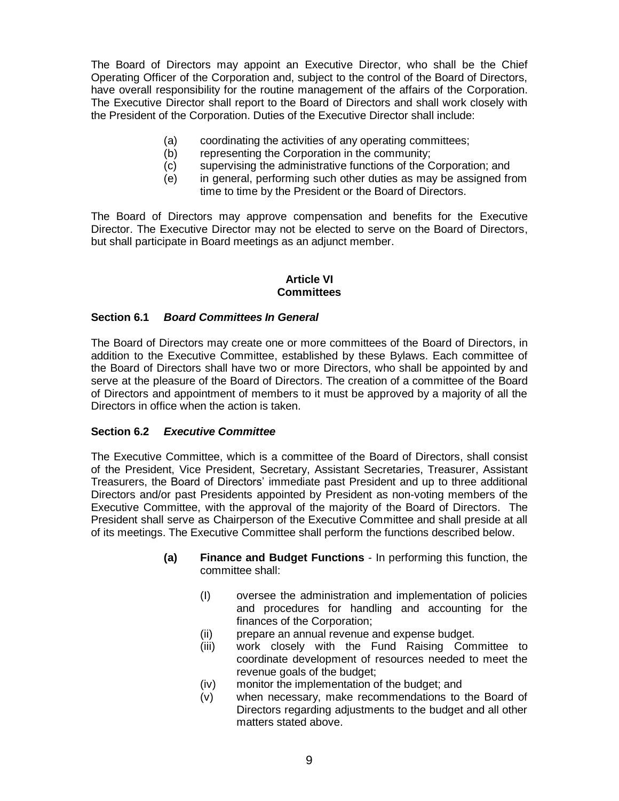The Board of Directors may appoint an Executive Director, who shall be the Chief Operating Officer of the Corporation and, subject to the control of the Board of Directors, have overall responsibility for the routine management of the affairs of the Corporation. The Executive Director shall report to the Board of Directors and shall work closely with the President of the Corporation. Duties of the Executive Director shall include:

- (a) coordinating the activities of any operating committees;
- (b) representing the Corporation in the community;
- (c) supervising the administrative functions of the Corporation; and
- (e) in general, performing such other duties as may be assigned from time to time by the President or the Board of Directors.

The Board of Directors may approve compensation and benefits for the Executive Director. The Executive Director may not be elected to serve on the Board of Directors, but shall participate in Board meetings as an adjunct member.

#### **Article VI Committees**

#### **Section 6.1** *Board Committees In General*

The Board of Directors may create one or more committees of the Board of Directors, in addition to the Executive Committee, established by these Bylaws. Each committee of the Board of Directors shall have two or more Directors, who shall be appointed by and serve at the pleasure of the Board of Directors. The creation of a committee of the Board of Directors and appointment of members to it must be approved by a majority of all the Directors in office when the action is taken.

#### **Section 6.2** *Executive Committee*

The Executive Committee, which is a committee of the Board of Directors, shall consist of the President, Vice President, Secretary, Assistant Secretaries, Treasurer, Assistant Treasurers, the Board of Directors' immediate past President and up to three additional Directors and/or past Presidents appointed by President as non-voting members of the Executive Committee, with the approval of the majority of the Board of Directors. The President shall serve as Chairperson of the Executive Committee and shall preside at all of its meetings. The Executive Committee shall perform the functions described below.

- **(a) Finance and Budget Functions**  In performing this function, the committee shall:
	- (I) oversee the administration and implementation of policies and procedures for handling and accounting for the finances of the Corporation;
	- (ii) prepare an annual revenue and expense budget.
	- (iii) work closely with the Fund Raising Committee to coordinate development of resources needed to meet the revenue goals of the budget;
	- (iv) monitor the implementation of the budget; and
	- (v) when necessary, make recommendations to the Board of Directors regarding adjustments to the budget and all other matters stated above.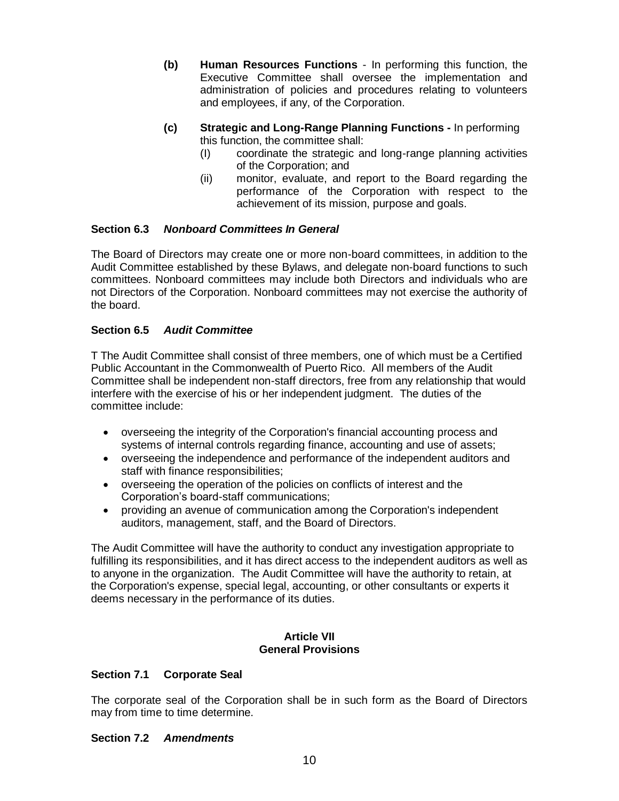- **(b) Human Resources Functions** In performing this function, the Executive Committee shall oversee the implementation and administration of policies and procedures relating to volunteers and employees, if any, of the Corporation.
- **(c) Strategic and Long-Range Planning Functions -** In performing this function, the committee shall:
	- (I) coordinate the strategic and long-range planning activities of the Corporation; and
	- (ii) monitor, evaluate, and report to the Board regarding the performance of the Corporation with respect to the achievement of its mission, purpose and goals.

### **Section 6.3** *Nonboard Committees In General*

The Board of Directors may create one or more non-board committees, in addition to the Audit Committee established by these Bylaws, and delegate non-board functions to such committees. Nonboard committees may include both Directors and individuals who are not Directors of the Corporation. Nonboard committees may not exercise the authority of the board.

### **Section 6.5** *Audit Committee*

T The Audit Committee shall consist of three members, one of which must be a Certified Public Accountant in the Commonwealth of Puerto Rico. All members of the Audit Committee shall be independent non-staff directors, free from any relationship that would interfere with the exercise of his or her independent judgment.The duties of the committee include:

- overseeing the integrity of the Corporation's financial accounting process and systems of internal controls regarding finance, accounting and use of assets;
- overseeing the independence and performance of the independent auditors and staff with finance responsibilities;
- overseeing the operation of the policies on conflicts of interest and the Corporation's board-staff communications;
- providing an avenue of communication among the Corporation's independent auditors, management, staff, and the Board of Directors.

The Audit Committee will have the authority to conduct any investigation appropriate to fulfilling its responsibilities, and it has direct access to the independent auditors as well as to anyone in the organization. The Audit Committee will have the authority to retain, at the Corporation's expense, special legal, accounting, or other consultants or experts it deems necessary in the performance of its duties.

#### **Article VII General Provisions**

### **Section 7.1 Corporate Seal**

The corporate seal of the Corporation shall be in such form as the Board of Directors may from time to time determine.

#### **Section 7.2** *Amendments*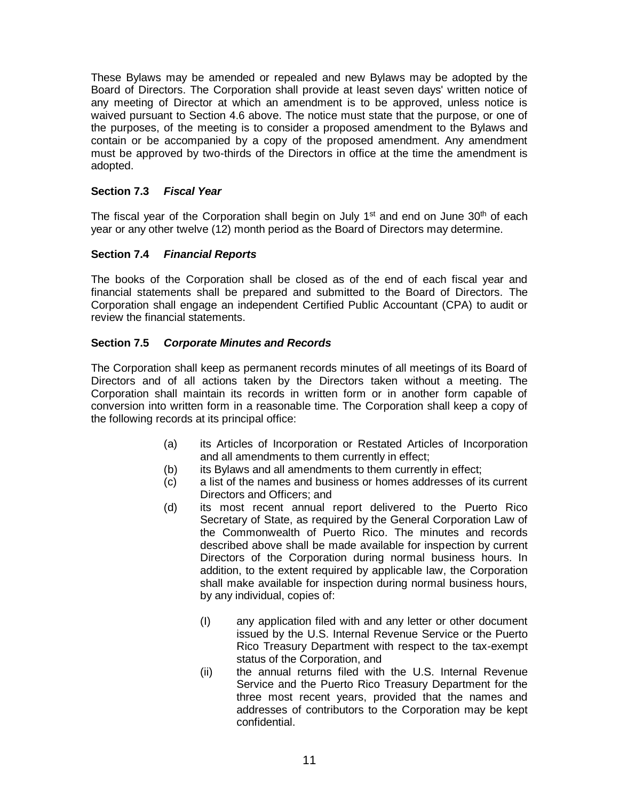These Bylaws may be amended or repealed and new Bylaws may be adopted by the Board of Directors. The Corporation shall provide at least seven days' written notice of any meeting of Director at which an amendment is to be approved, unless notice is waived pursuant to Section 4.6 above. The notice must state that the purpose, or one of the purposes, of the meeting is to consider a proposed amendment to the Bylaws and contain or be accompanied by a copy of the proposed amendment. Any amendment must be approved by two-thirds of the Directors in office at the time the amendment is adopted.

## **Section 7.3** *Fiscal Year*

The fiscal year of the Corporation shall begin on July 1<sup>st</sup> and end on June 30<sup>th</sup> of each year or any other twelve (12) month period as the Board of Directors may determine.

# **Section 7.4** *Financial Reports*

The books of the Corporation shall be closed as of the end of each fiscal year and financial statements shall be prepared and submitted to the Board of Directors. The Corporation shall engage an independent Certified Public Accountant (CPA) to audit or review the financial statements.

### **Section 7.5** *Corporate Minutes and Records*

The Corporation shall keep as permanent records minutes of all meetings of its Board of Directors and of all actions taken by the Directors taken without a meeting. The Corporation shall maintain its records in written form or in another form capable of conversion into written form in a reasonable time. The Corporation shall keep a copy of the following records at its principal office:

- (a) its Articles of Incorporation or Restated Articles of Incorporation and all amendments to them currently in effect;
- (b) its Bylaws and all amendments to them currently in effect;
- (c) a list of the names and business or homes addresses of its current Directors and Officers; and
- (d) its most recent annual report delivered to the Puerto Rico Secretary of State, as required by the General Corporation Law of the Commonwealth of Puerto Rico. The minutes and records described above shall be made available for inspection by current Directors of the Corporation during normal business hours. In addition, to the extent required by applicable law, the Corporation shall make available for inspection during normal business hours, by any individual, copies of:
	- (I) any application filed with and any letter or other document issued by the U.S. Internal Revenue Service or the Puerto Rico Treasury Department with respect to the tax-exempt status of the Corporation, and
	- (ii) the annual returns filed with the U.S. Internal Revenue Service and the Puerto Rico Treasury Department for the three most recent years, provided that the names and addresses of contributors to the Corporation may be kept confidential.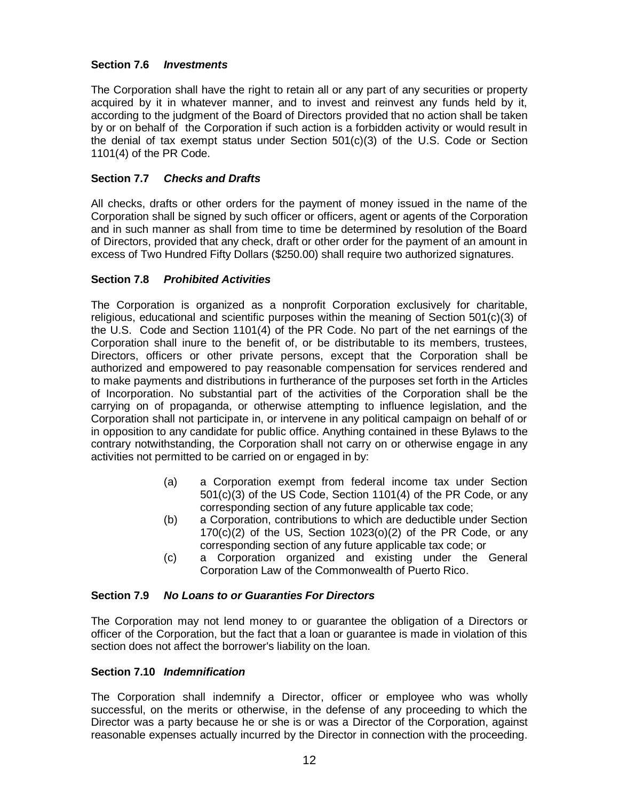## **Section 7.6** *Investments*

The Corporation shall have the right to retain all or any part of any securities or property acquired by it in whatever manner, and to invest and reinvest any funds held by it, according to the judgment of the Board of Directors provided that no action shall be taken by or on behalf of the Corporation if such action is a forbidden activity or would result in the denial of tax exempt status under Section 501(c)(3) of the U.S. Code or Section 1101(4) of the PR Code.

# **Section 7.7** *Checks and Drafts*

All checks, drafts or other orders for the payment of money issued in the name of the Corporation shall be signed by such officer or officers, agent or agents of the Corporation and in such manner as shall from time to time be determined by resolution of the Board of Directors, provided that any check, draft or other order for the payment of an amount in excess of Two Hundred Fifty Dollars (\$250.00) shall require two authorized signatures.

### **Section 7.8** *Prohibited Activities*

The Corporation is organized as a nonprofit Corporation exclusively for charitable, religious, educational and scientific purposes within the meaning of Section 501(c)(3) of the U.S. Code and Section 1101(4) of the PR Code. No part of the net earnings of the Corporation shall inure to the benefit of, or be distributable to its members, trustees, Directors, officers or other private persons, except that the Corporation shall be authorized and empowered to pay reasonable compensation for services rendered and to make payments and distributions in furtherance of the purposes set forth in the Articles of Incorporation. No substantial part of the activities of the Corporation shall be the carrying on of propaganda, or otherwise attempting to influence legislation, and the Corporation shall not participate in, or intervene in any political campaign on behalf of or in opposition to any candidate for public office. Anything contained in these Bylaws to the contrary notwithstanding, the Corporation shall not carry on or otherwise engage in any activities not permitted to be carried on or engaged in by:

- (a) a Corporation exempt from federal income tax under Section 501(c)(3) of the US Code, Section 1101(4) of the PR Code, or any corresponding section of any future applicable tax code;
- (b) a Corporation, contributions to which are deductible under Section  $170(c)(2)$  of the US, Section  $1023(0)(2)$  of the PR Code, or any corresponding section of any future applicable tax code; or
- (c) a Corporation organized and existing under the General Corporation Law of the Commonwealth of Puerto Rico.

### **Section 7.9** *No Loans to or Guaranties For Directors*

The Corporation may not lend money to or guarantee the obligation of a Directors or officer of the Corporation, but the fact that a loan or guarantee is made in violation of this section does not affect the borrower's liability on the loan.

### **Section 7.10** *Indemnification*

The Corporation shall indemnify a Director, officer or employee who was wholly successful, on the merits or otherwise, in the defense of any proceeding to which the Director was a party because he or she is or was a Director of the Corporation, against reasonable expenses actually incurred by the Director in connection with the proceeding.